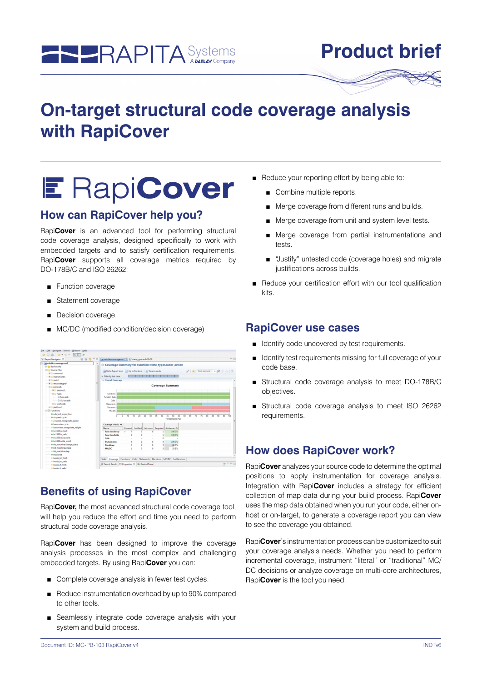

# **Product brief**

# **On-target structural code coverage analysis with RapiCover**

# **E RapiCover**

## **How can RapiCover help you?**

Rapi**Cover** is an advanced tool for performing structural code coverage analysis, designed specifically to work with embedded targets and to satisfy certification requirements. Rapi**Cover** supports all coverage metrics required by DO-178B/C and ISO 26262:

- Function coverage
- Statement coverage
- Decision coverage
- MC/DC (modified condition/decision coverage)

| 日田協一口<br>E: Report Navigator 33 | $=$ $-$<br>m missile-coverage.rvd [3] [2] state_types.adb:19-38                                                                                                                       |
|---------------------------------|---------------------------------------------------------------------------------------------------------------------------------------------------------------------------------------|
| - minissile-coverage.rvd        |                                                                                                                                                                                       |
| <b>E</b> Bookmarks              | Coverage Summary for Function: state_types.radar_action                                                                                                                               |
| <b>BIG</b> Source Files         |                                                                                                                                                                                       |
| E Common                        | Up to Report level   Up to File level   Source code                                                                                                                                   |
| -Fill instruments).             | Filter by test case                                                                                                                                                                   |
| Fill main                       | <b>v</b> Overall Coverage                                                                                                                                                             |
| <b>BIG</b> measuretypes\        |                                                                                                                                                                                       |
| Realysing LE                    | <b>Coverage Summary</b>                                                                                                                                                               |
| <b>E destruct</b>               |                                                                                                                                                                                       |
| <b>El Eu fuzel</b>              | Functions                                                                                                                                                                             |
| <sup>D</sup> fuze adb           | Function Exts                                                                                                                                                                         |
| -D if fuze adb                  | Calls                                                                                                                                                                                 |
| <b>E El warhead</b>             | Statements                                                                                                                                                                            |
| File platform                   | Decisions                                                                                                                                                                             |
| <b>El</b> Functions             | MC/DC                                                                                                                                                                                 |
| @ ada text jo.put line          |                                                                                                                                                                                       |
| @ airspeed.cycle                | $\overline{10}$<br>15<br>$\overline{20}$<br>25<br>55<br>95<br>5<br>30<br>$\overline{36}$<br>50<br>m<br>$\overline{\mathbf{z}}$<br>901<br>85<br>90<br>n<br>m<br>45<br>62<br>65.<br>100 |
| · airspeed.extrapolate_speed    | Percentage (%)                                                                                                                                                                        |
| · barometer.cycle               | Coverage Metric 39                                                                                                                                                                    |
| · barometer.extrapolate_height  |                                                                                                                                                                                       |
| · bc1553.is fresh               | Covered Justified Unknown Required Addressed %<br>Name                                                                                                                                |
| · bc1553.is valid               | <b>Function Entry</b><br>100.0%<br>$\ddot{\phantom{0}}$<br>$\theta$                                                                                                                   |
| · bc1553.read_word              | <b>Function Exits</b><br>100.0%<br>$\Omega$                                                                                                                                           |
| @ bc1553.write_word             | Calls<br>٥                                                                                                                                                                            |
| · bit machine.change state      | <b>Statements</b><br>100.0%<br>$\circ$<br>8<br>6                                                                                                                                      |
| · bit machine.phase             | 66.6%<br>Decisions<br>$\theta$<br>п                                                                                                                                                   |
| · bit machine.step              | $\theta$<br>MC/DC<br>$\ddot{\Omega}$<br>33.3%<br>$\overline{a}$                                                                                                                       |
| · bus.cycle                     |                                                                                                                                                                                       |
| · bus.is_bc_fresh               |                                                                                                                                                                                       |
| · busis bc valid                | Static Coverage Functions Calls Statements Decisions MC/DC Justifications                                                                                                             |
| · bus.is it fresh               | $\mathbf{H}$ $\triangle$ $\Box$<br>Search Results   Properties 32   B Rewind Trace                                                                                                    |
| di base in et scaliet           |                                                                                                                                                                                       |

## **Benefits of using RapiCover**

Rapi**Cover,** the most advanced structural code coverage tool, will help you reduce the effort and time you need to perform structural code coverage analysis.

Rapi**Cover** has been designed to improve the coverage analysis processes in the most complex and challenging embedded targets. By using Rapi**Cover** you can:

- Complete coverage analysis in fewer test cycles.
- Reduce instrumentation overhead by up to 90% compared to other tools.
- Seamlessly integrate code coverage analysis with your system and build process.
- Reduce your reporting effort by being able to:
	- Combine multiple reports.
	- Merge coverage from different runs and builds.
	- Merge coverage from unit and system level tests.
	- Merge coverage from partial instrumentations and tests.
	- "Justify" untested code (coverage holes) and migrate justifications across builds.
- Reduce your certification effort with our tool qualification kits.

### **RapiCover use cases**

- Identify code uncovered by test requirements.
- Identify test requirements missing for full coverage of your code base.
- Structural code coverage analysis to meet DO-178B/C objectives.
- Structural code coverage analysis to meet ISO 26262 requirements.

# **How does RapiCover work?**

Rapi**Cover** analyzes your source code to determine the optimal positions to apply instrumentation for coverage analysis. Integration with Rapi**Cover** includes a strategy for efficient collection of map data during your build process. Rapi**Cover** uses the map data obtained when you run your code, either onhost or on-target, to generate a coverage report you can view to see the coverage you obtained.

Rapi**Cover**'s instrumentation process can be customized to suit your coverage analysis needs. Whether you need to perform incremental coverage, instrument "literal" or "traditional" MC/ DC decisions or analyze coverage on multi-core architectures, Rapi**Cover** is the tool you need.